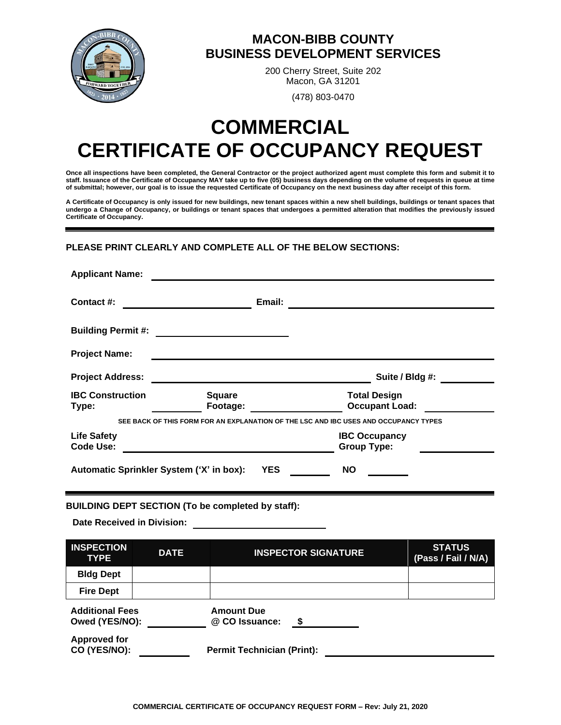

## **MACON-BIBB COUNTY BUSINESS DEVELOPMENT SERVICES**

200 Cherry Street, Suite 202 Macon, GA 31201

(478) 803-0470

# **COMMERCIAL CERTIFICATE OF OCCUPANCY REQUEST**

**Once all inspections have been completed, the General Contractor or the project authorized agent must complete this form and submit it to staff. Issuance of the Certificate of Occupancy MAY take up to five (05) business days depending on the volume of requests in queue at time of submittal; however, our goal is to issue the requested Certificate of Occupancy on the next business day after receipt of this form.** 

**A Certificate of Occupancy is only issued for new buildings, new tenant spaces within a new shell buildings, buildings or tenant spaces that undergo a Change of Occupancy, or buildings or tenant spaces that undergoes a permitted alteration that modifies the previously issued Certificate of Occupancy.** 

#### **PLEASE PRINT CLEARLY AND COMPLETE ALL OF THE BELOW SECTIONS:**

| <b>Applicant Name:</b>                 |                                                        |                                                                                      |
|----------------------------------------|--------------------------------------------------------|--------------------------------------------------------------------------------------|
| Contact #:                             | Email:                                                 |                                                                                      |
| <b>Building Permit #:</b>              |                                                        |                                                                                      |
| <b>Project Name:</b>                   |                                                        |                                                                                      |
| <b>Project Address:</b>                |                                                        | Suite / Bldg #:                                                                      |
| <b>IBC Construction</b><br>Type:       | <b>Square</b><br>Footage:                              | <b>Total Design</b><br><b>Occupant Load:</b>                                         |
|                                        |                                                        | SEE BACK OF THIS FORM FOR AN EXPLANATION OF THE LSC AND IBC USES AND OCCUPANCY TYPES |
| <b>Life Safety</b><br><b>Code Use:</b> |                                                        | <b>IBC Occupancy</b><br><b>Group Type:</b>                                           |
|                                        | <b>YES</b><br>Automatic Sprinkler System ('X' in box): | <b>NO</b>                                                                            |

#### **BUILDING DEPT SECTION (To be completed by staff):**

**Date Received in Division:** 

| <b>INSPECTION</b><br><b>TYPE</b>         | <b>DATE</b> | <b>INSPECTOR SIGNATURE</b>               | <b>STATUS</b><br>(Pass / Fail / N/A) |
|------------------------------------------|-------------|------------------------------------------|--------------------------------------|
| <b>Bldg Dept</b>                         |             |                                          |                                      |
| <b>Fire Dept</b>                         |             |                                          |                                      |
| <b>Additional Fees</b><br>Owed (YES/NO): |             | <b>Amount Due</b><br>@ CO Issuance:<br>S |                                      |
| <b>Approved for</b><br>CO (YES/NO):      |             | <b>Permit Technician (Print):</b>        |                                      |